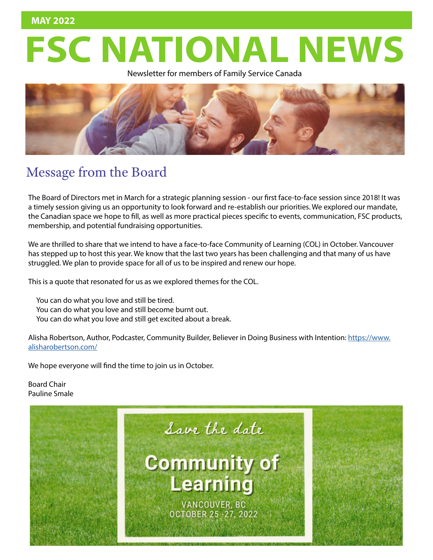## Newsletter for members of Family Service Canada **FSC NATIONAL NEWS**

Newsletter for members of Family Service Canada



## Message from the Board

The Board of Directors met in March for a strategic planning session - our first face-to-face session since 2018! It was a timely session giving us an opportunity to look forward and re-establish our priorities. We explored our mandate, the Canadian space we hope to fill, as well as more practical pieces specific to events, communication, FSC products, membership, and potential fundraising opportunities.

We are thrilled to share that we intend to have a face-to-face Community of Learning (COL) in October. Vancouver has stepped up to host this year. We know that the last two years has been challenging and that many of us have struggled. We plan to provide space for all of us to be inspired and renew our hope.

This is a quote that resonated for us as we explored themes for the COL.

You can do what you love and still be tired. You can do what you love and still become burnt out. You can do what you love and still get excited about a break.

Alisha Robertson, Author, Podcaster, Community Builder, Believer in Doing Business with Intention: [https://www.](https://www.alisharobertson.com/) [alisharobertson.com/](https://www.alisharobertson.com/)

We hope everyone will find the time to join us in October.

Board Chair Pauline Smale

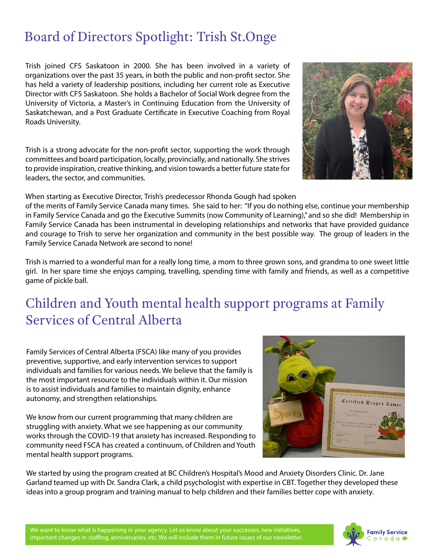## Board of Directors Spotlight: Trish St.Onge

Trish joined CFS Saskatoon in 2000. She has been involved in a variety of organizations over the past 35 years, in both the public and non-profit sector. She has held a variety of leadership positions, including her current role as Executive Director with CFS Saskatoon. She holds a Bachelor of Social Work degree from the University of Victoria, a Master's in Continuing Education from the University of Saskatchewan, and a Post Graduate Certificate in Executive Coaching from Royal Roads University.

Trish is a strong advocate for the non-profit sector, supporting the work through committees and board participation, locally, provincially, and nationally. She strives to provide inspiration, creative thinking, and vision towards a better future state for leaders, the sector, and communities.

When starting as Executive Director, Trish's predecessor Rhonda Gough had spoken

of the merits of Family Service Canada many times. She said to her: "If you do nothing else, continue your membership in Family Service Canada and go the Executive Summits (now Community of Learning)," and so she did! Membership in Family Service Canada has been instrumental in developing relationships and networks that have provided guidance and courage to Trish to serve her organization and community in the best possible way. The group of leaders in the Family Service Canada Network are second to none!

Trish is married to a wonderful man for a really long time, a mom to three grown sons, and grandma to one sweet little girl. In her spare time she enjoys camping, travelling, spending time with family and friends, as well as a competitive game of pickle ball.

## Children and Youth mental health support programs at Family Services of Central Alberta

Family Services of Central Alberta (FSCA) like many of you provides preventive, supportive, and early intervention services to support individuals and families for various needs. We believe that the family is the most important resource to the individuals within it. Our mission is to assist individuals and families to maintain dignity, enhance autonomy, and strengthen relationships.

We know from our current programming that many children are struggling with anxiety. What we see happening as our community works through the COVID-19 that anxiety has increased. Responding to community need FSCA has created a continuum, of Children and Youth mental health support programs.

We started by using the program created at BC Children's Hospital's Mood and Anxiety Disorders Clinic. Dr. Jane Garland teamed up with Dr. Sandra Clark, a child psychologist with expertise in CBT. Together they developed these ideas into a group program and training manual to help children and their families better cope with anxiety.